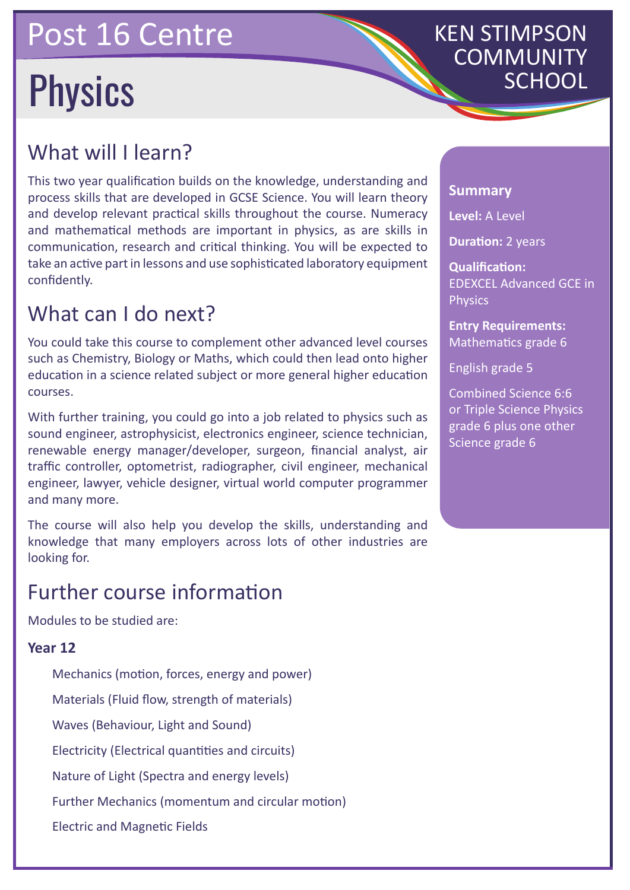### Post 16 Centre

# Physics

## KEN STIMPSON **COMMUNITY**<br>SCHOOL

#### What will I learn?

This two year qualification builds on the knowledge, understanding and process skills that are developed in GCSE Science. You will learn theory and develop relevant practical skills throughout the course. Numeracy and mathematical methods are important in physics, as are skills in communication, research and critical thinking. You will be expected to take an active part in lessons and use sophisticated laboratory equipment confidently.

#### What can I do next?

You could take this course to complement other advanced level courses such as Chemistry, Biology or Maths, which could then lead onto higher education in a science related subject or more general higher education courses.

With further training, you could go into a job related to physics such as sound engineer, astrophysicist, electronics engineer, science technician, renewable energy manager/developer, surgeon, financial analyst, air traffic controller, optometrist, radiographer, civil engineer, mechanical engineer, lawyer, vehicle designer, virtual world computer programmer and many more.

The course will also help you develop the skills, understanding and knowledge that many employers across lots of other industries are looking for.

#### Further course information

Modules to be studied are:

#### **Year 12**

Mechanics (motion, forces, energy and power) Materials (Fluid flow, strength of materials) Waves (Behaviour, Light and Sound) Electricity (Electrical quantities and circuits) Nature of Light (Spectra and energy levels) Further Mechanics (momentum and circular motion) Electric and Magnetic Fields

#### **Summary**

**Level:** A Level

**Duration: 2 years** 

**Qualification:** EDEXCEL Advanced GCE in **Physics** 

**Entry Requirements:** Mathematics grade 6

English grade 5

Combined Science 6:6 or Triple Science Physics grade 6 plus one other Science grade 6